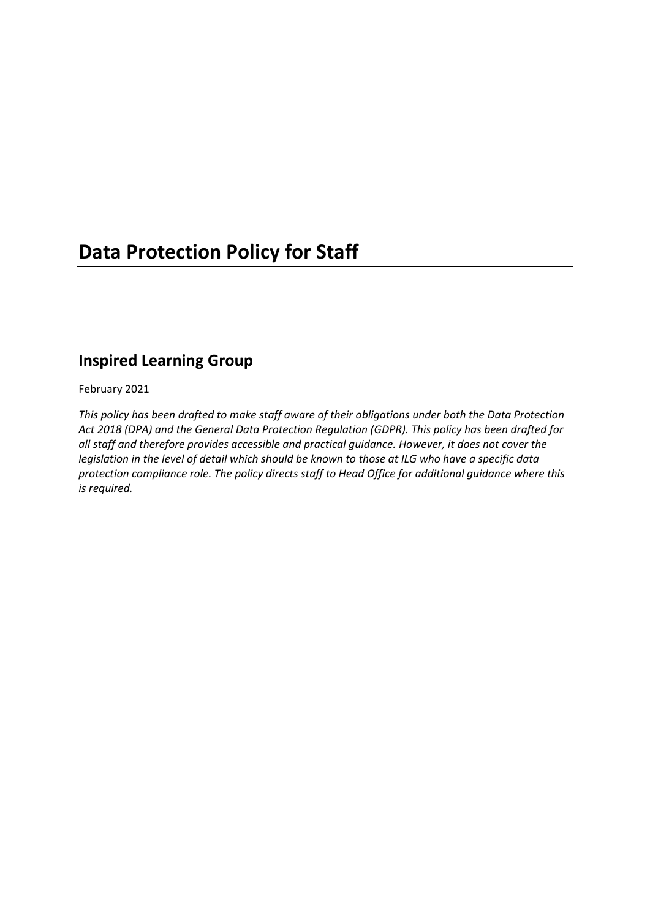## **Data Protection Policy for Staff**

### **Inspired Learning Group**

February 2021

*This policy has been drafted to make staff aware of their obligations under both the Data Protection Act 2018 (DPA) and the General Data Protection Regulation (GDPR). This policy has been drafted for all staff and therefore provides accessible and practical guidance. However, it does not cover the legislation in the level of detail which should be known to those at ILG who have a specific data protection compliance role. The policy directs staff to Head Office for additional guidance where this is required.*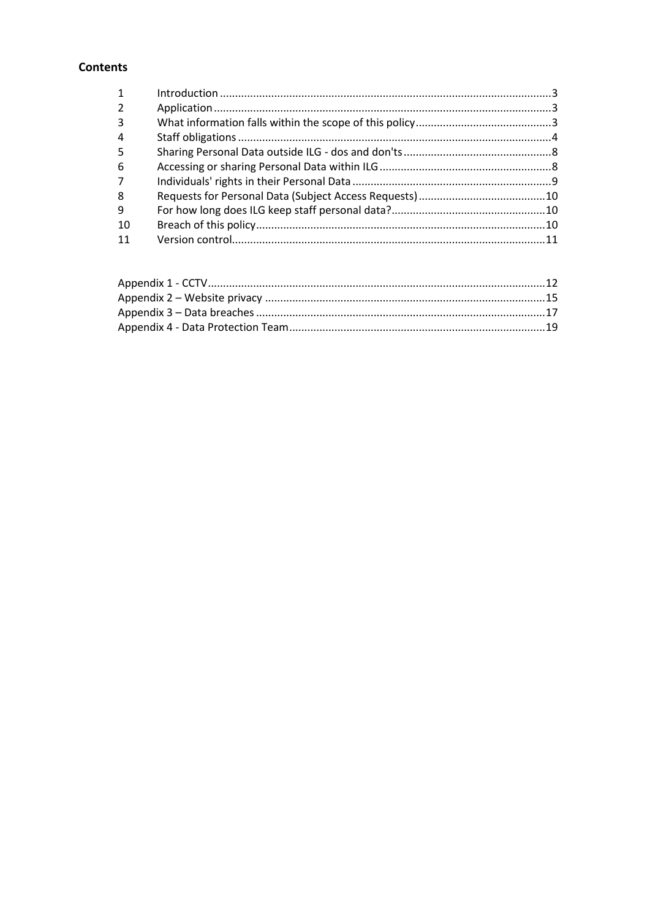#### **Contents**

| $\mathbf{1}$   |  |
|----------------|--|
| $\overline{2}$ |  |
| 3              |  |
| 4              |  |
| - 5            |  |
| -6             |  |
|                |  |
| 8              |  |
| 9              |  |
| -10            |  |
| -11            |  |
|                |  |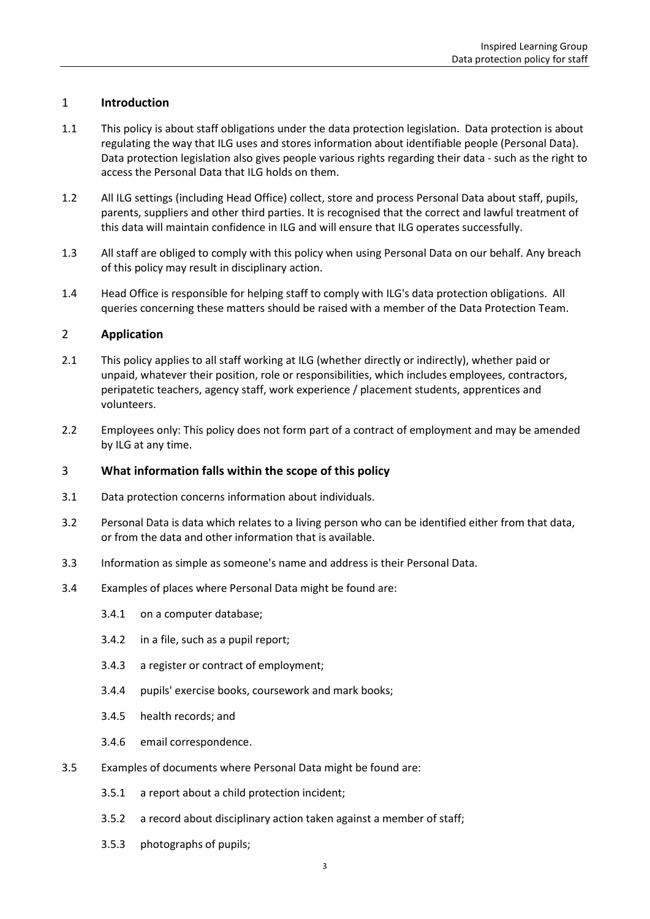#### <span id="page-2-0"></span>1 **Introduction**

- 1.1 This policy is about staff obligations under the data protection legislation. Data protection is about regulating the way that ILG uses and stores information about identifiable people (Personal Data). Data protection legislation also gives people various rights regarding their data - such as the right to access the Personal Data that ILG holds on them.
- 1.2 All ILG settings (including Head Office) collect, store and process Personal Data about staff, pupils, parents, suppliers and other third parties. It is recognised that the correct and lawful treatment of this data will maintain confidence in ILG and will ensure that ILG operates successfully.
- 1.3 All staff are obliged to comply with this policy when using Personal Data on our behalf. Any breach of this policy may result in disciplinary action.
- 1.4 Head Office is responsible for helping staff to comply with ILG's data protection obligations. All queries concerning these matters should be raised with a member of the Data Protection Team.

#### <span id="page-2-1"></span>2 **Application**

- 2.1 This policy applies to all staff working at ILG (whether directly or indirectly), whether paid or unpaid, whatever their position, role or responsibilities, which includes employees, contractors, peripatetic teachers, agency staff, work experience / placement students, apprentices and volunteers.
- 2.2 Employees only: This policy does not form part of a contract of employment and may be amended by ILG at any time.

#### <span id="page-2-2"></span>3 **What information falls within the scope of this policy**

- 3.1 Data protection concerns information about individuals.
- 3.2 Personal Data is data which relates to a living person who can be identified either from that data, or from the data and other information that is available.
- 3.3 Information as simple as someone's name and address is their Personal Data.
- 3.4 Examples of places where Personal Data might be found are:
	- 3.4.1 on a computer database;
	- 3.4.2 in a file, such as a pupil report;
	- 3.4.3 a register or contract of employment;
	- 3.4.4 pupils' exercise books, coursework and mark books;
	- 3.4.5 health records; and
	- 3.4.6 email correspondence.
- 3.5 Examples of documents where Personal Data might be found are:
	- 3.5.1 a report about a child protection incident;
	- 3.5.2 a record about disciplinary action taken against a member of staff;
	- 3.5.3 photographs of pupils;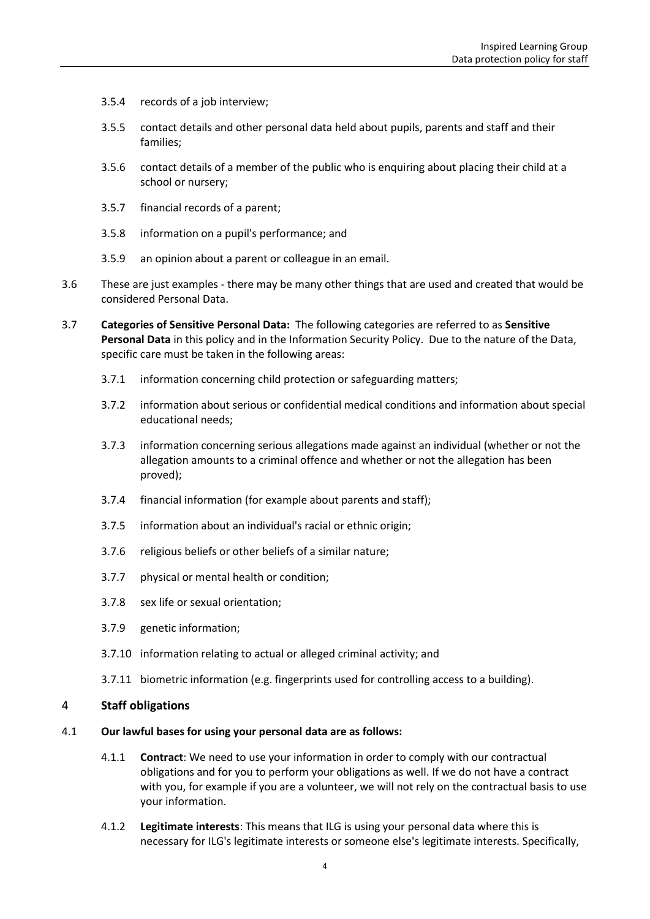- 3.5.4 records of a job interview;
- 3.5.5 contact details and other personal data held about pupils, parents and staff and their families;
- 3.5.6 contact details of a member of the public who is enquiring about placing their child at a school or nursery;
- 3.5.7 financial records of a parent;
- 3.5.8 information on a pupil's performance; and
- 3.5.9 an opinion about a parent or colleague in an email.
- 3.6 These are just examples there may be many other things that are used and created that would be considered Personal Data.
- <span id="page-3-1"></span>3.7 **Categories of Sensitive Personal Data:** The following categories are referred to as **Sensitive Personal Data** in this policy and in the Information Security Policy. Due to the nature of the Data, specific care must be taken in the following areas:
	- 3.7.1 information concerning child protection or safeguarding matters;
	- 3.7.2 information about serious or confidential medical conditions and information about special educational needs;
	- 3.7.3 information concerning serious allegations made against an individual (whether or not the allegation amounts to a criminal offence and whether or not the allegation has been proved);
	- 3.7.4 financial information (for example about parents and staff);
	- 3.7.5 information about an individual's racial or ethnic origin;
	- 3.7.6 religious beliefs or other beliefs of a similar nature;
	- 3.7.7 physical or mental health or condition;
	- 3.7.8 sex life or sexual orientation;
	- 3.7.9 genetic information;
	- 3.7.10 information relating to actual or alleged criminal activity; and
	- 3.7.11 biometric information (e.g. fingerprints used for controlling access to a building).

#### <span id="page-3-0"></span>4 **Staff obligations**

- 4.1 **Our lawful bases for using your personal data are as follows:**
	- 4.1.1 **Contract**: We need to use your information in order to comply with our contractual obligations and for you to perform your obligations as well. If we do not have a contract with you, for example if you are a volunteer, we will not rely on the contractual basis to use your information.
	- 4.1.2 **Legitimate interests**: This means that ILG is using your personal data where this is necessary for ILG's legitimate interests or someone else's legitimate interests. Specifically,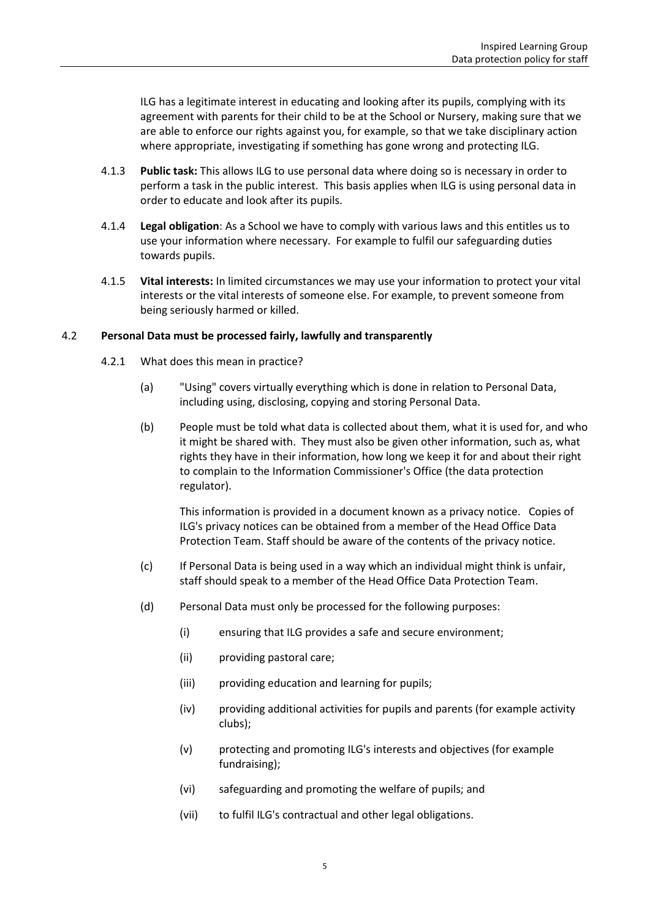ILG has a legitimate interest in educating and looking after its pupils, complying with its agreement with parents for their child to be at the School or Nursery, making sure that we are able to enforce our rights against you, for example, so that we take disciplinary action where appropriate, investigating if something has gone wrong and protecting ILG.

- 4.1.3 **Public task:** This allows ILG to use personal data where doing so is necessary in order to perform a task in the public interest. This basis applies when ILG is using personal data in order to educate and look after its pupils.
- 4.1.4 **Legal obligation**: As a School we have to comply with various laws and this entitles us to use your information where necessary. For example to fulfil our safeguarding duties towards pupils.
- 4.1.5 **Vital interests:** In limited circumstances we may use your information to protect your vital interests or the vital interests of someone else. For example, to prevent someone from being seriously harmed or killed.

#### 4.2 **Personal Data must be processed fairly, lawfully and transparently**

- 4.2.1 What does this mean in practice?
	- (a) "Using" covers virtually everything which is done in relation to Personal Data, including using, disclosing, copying and storing Personal Data.
	- (b) People must be told what data is collected about them, what it is used for, and who it might be shared with. They must also be given other information, such as, what rights they have in their information, how long we keep it for and about their right to complain to the Information Commissioner's Office (the data protection regulator).

This information is provided in a document known as a privacy notice. Copies of ILG's privacy notices can be obtained from a member of the Head Office Data Protection Team. Staff should be aware of the contents of the privacy notice.

- (c) If Personal Data is being used in a way which an individual might think is unfair, staff should speak to a member of the Head Office Data Protection Team.
- (d) Personal Data must only be processed for the following purposes:
	- (i) ensuring that ILG provides a safe and secure environment;
	- (ii) providing pastoral care;
	- (iii) providing education and learning for pupils;
	- (iv) providing additional activities for pupils and parents (for example activity clubs);
	- (v) protecting and promoting ILG's interests and objectives (for example fundraising);
	- (vi) safeguarding and promoting the welfare of pupils; and
	- (vii) to fulfil ILG's contractual and other legal obligations.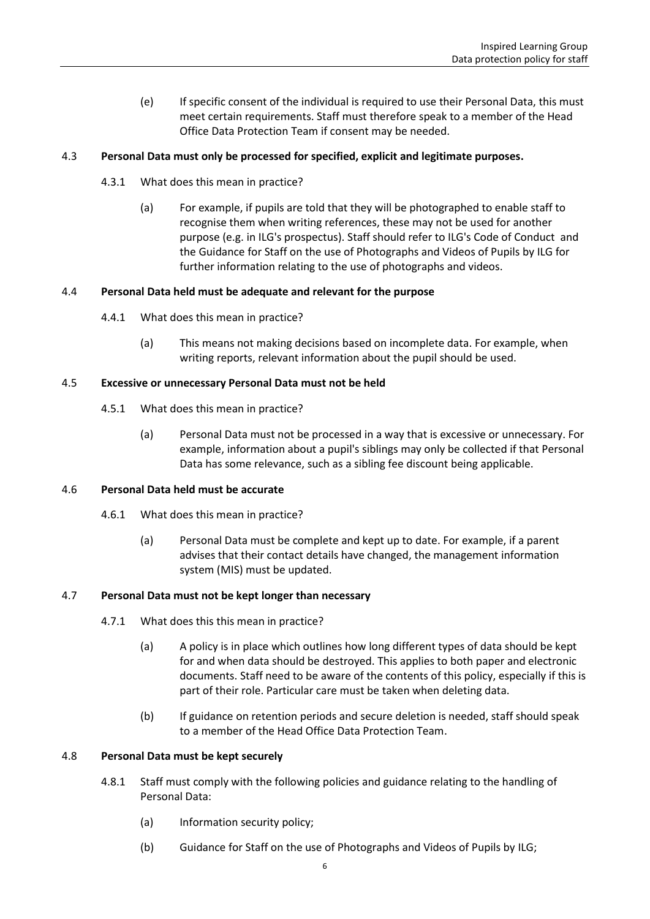(e) If specific consent of the individual is required to use their Personal Data, this must meet certain requirements. Staff must therefore speak to a member of the Head Office Data Protection Team if consent may be needed.

#### 4.3 **Personal Data must only be processed for specified, explicit and legitimate purposes.**

- 4.3.1 What does this mean in practice?
	- (a) For example, if pupils are told that they will be photographed to enable staff to recognise them when writing references, these may not be used for another purpose (e.g. in ILG's prospectus). Staff should refer to ILG's Code of Conduct and the Guidance for Staff on the use of Photographs and Videos of Pupils by ILG for further information relating to the use of photographs and videos.

#### 4.4 **Personal Data held must be adequate and relevant for the purpose**

- 4.4.1 What does this mean in practice?
	- (a) This means not making decisions based on incomplete data. For example, when writing reports, relevant information about the pupil should be used.

#### 4.5 **Excessive or unnecessary Personal Data must not be held**

- 4.5.1 What does this mean in practice?
	- (a) Personal Data must not be processed in a way that is excessive or unnecessary. For example, information about a pupil's siblings may only be collected if that Personal Data has some relevance, such as a sibling fee discount being applicable.

#### 4.6 **Personal Data held must be accurate**

- 4.6.1 What does this mean in practice?
	- (a) Personal Data must be complete and kept up to date. For example, if a parent advises that their contact details have changed, the management information system (MIS) must be updated.

#### 4.7 **Personal Data must not be kept longer than necessary**

- 4.7.1 What does this this mean in practice?
	- (a) A policy is in place which outlines how long different types of data should be kept for and when data should be destroyed. This applies to both paper and electronic documents. Staff need to be aware of the contents of this policy, especially if this is part of their role. Particular care must be taken when deleting data.
	- (b) If guidance on retention periods and secure deletion is needed, staff should speak to a member of the Head Office Data Protection Team.

#### 4.8 **Personal Data must be kept securely**

- 4.8.1 Staff must comply with the following policies and guidance relating to the handling of Personal Data:
	- (a) Information security policy;
	- (b) Guidance for Staff on the use of Photographs and Videos of Pupils by ILG;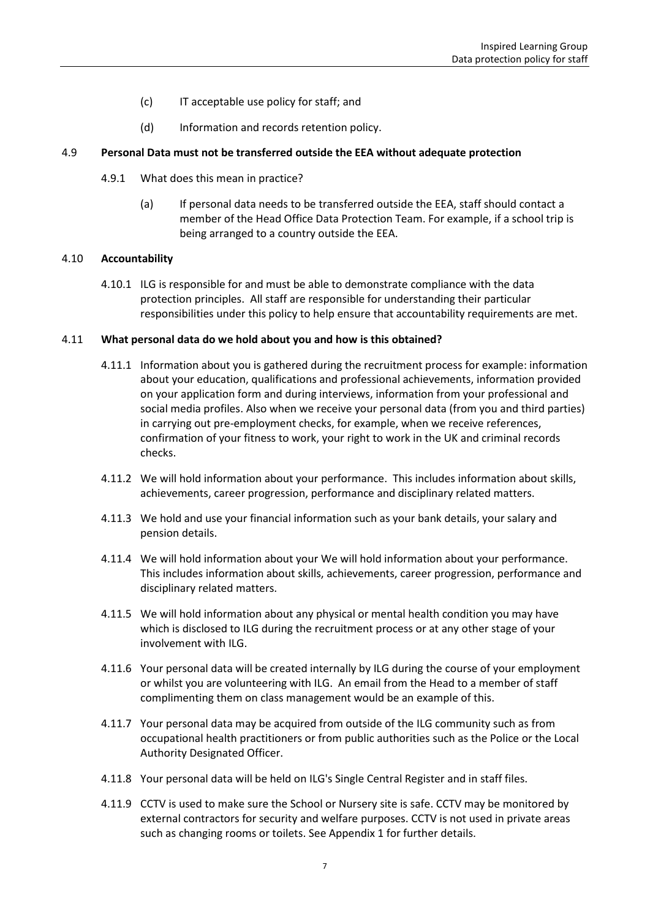- (c) IT acceptable use policy for staff; and
- (d) Information and records retention policy.

#### 4.9 **Personal Data must not be transferred outside the EEA without adequate protection**

- 4.9.1 What does this mean in practice?
	- (a) If personal data needs to be transferred outside the EEA, staff should contact a member of the Head Office Data Protection Team. For example, if a school trip is being arranged to a country outside the EEA.

#### 4.10 **Accountability**

4.10.1 ILG is responsible for and must be able to demonstrate compliance with the data protection principles. All staff are responsible for understanding their particular responsibilities under this policy to help ensure that accountability requirements are met.

#### 4.11 **What personal data do we hold about you and how is this obtained?**

- 4.11.1 Information about you is gathered during the recruitment process for example: information about your education, qualifications and professional achievements, information provided on your application form and during interviews, information from your professional and social media profiles. Also when we receive your personal data (from you and third parties) in carrying out pre-employment checks, for example, when we receive references, confirmation of your fitness to work, your right to work in the UK and criminal records checks.
- 4.11.2 We will hold information about your performance. This includes information about skills, achievements, career progression, performance and disciplinary related matters.
- 4.11.3 We hold and use your financial information such as your bank details, your salary and pension details.
- 4.11.4 We will hold information about your We will hold information about your performance. This includes information about skills, achievements, career progression, performance and disciplinary related matters.
- 4.11.5 We will hold information about any physical or mental health condition you may have which is disclosed to ILG during the recruitment process or at any other stage of your involvement with ILG.
- 4.11.6 Your personal data will be created internally by ILG during the course of your employment or whilst you are volunteering with ILG. An email from the Head to a member of staff complimenting them on class management would be an example of this.
- 4.11.7 Your personal data may be acquired from outside of the ILG community such as from occupational health practitioners or from public authorities such as the Police or the Local Authority Designated Officer.
- 4.11.8 Your personal data will be held on ILG's Single Central Register and in staff files.
- 4.11.9 CCTV is used to make sure the School or Nursery site is safe. CCTV may be monitored by external contractors for security and welfare purposes. CCTV is not used in private areas such as changing rooms or toilets. See Appendix 1 for further details.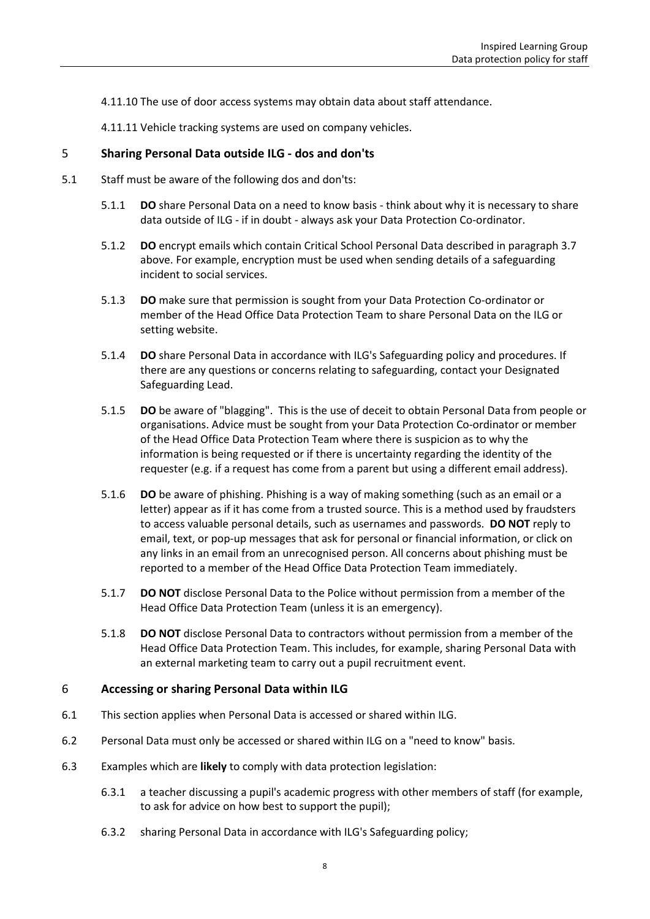- 4.11.10 The use of door access systems may obtain data about staff attendance.
- 4.11.11 Vehicle tracking systems are used on company vehicles.

#### <span id="page-7-0"></span>5 **Sharing Personal Data outside ILG - dos and don'ts**

- 5.1 Staff must be aware of the following dos and don'ts:
	- 5.1.1 **DO** share Personal Data on a need to know basis think about why it is necessary to share data outside of ILG - if in doubt - always ask your Data Protection Co-ordinator.
	- 5.1.2 **DO** encrypt emails which contain Critical School Personal Data described in paragraph [3.7](#page-3-1) above. For example, encryption must be used when sending details of a safeguarding incident to social services.
	- 5.1.3 **DO** make sure that permission is sought from your Data Protection Co-ordinator or member of the Head Office Data Protection Team to share Personal Data on the ILG or setting website.
	- 5.1.4 **DO** share Personal Data in accordance with ILG's Safeguarding policy and procedures. If there are any questions or concerns relating to safeguarding, contact your Designated Safeguarding Lead.
	- 5.1.5 **DO** be aware of "blagging". This is the use of deceit to obtain Personal Data from people or organisations. Advice must be sought from your Data Protection Co-ordinator or member of the Head Office Data Protection Team where there is suspicion as to why the information is being requested or if there is uncertainty regarding the identity of the requester (e.g. if a request has come from a parent but using a different email address).
	- 5.1.6 **DO** be aware of phishing. Phishing is a way of making something (such as an email or a letter) appear as if it has come from a trusted source. This is a method used by fraudsters to access valuable personal details, such as usernames and passwords. **DO NOT** reply to email, text, or pop-up messages that ask for personal or financial information, or click on any links in an email from an unrecognised person. All concerns about phishing must be reported to a member of the Head Office Data Protection Team immediately.
	- 5.1.7 **DO NOT** disclose Personal Data to the Police without permission from a member of the Head Office Data Protection Team (unless it is an emergency).
	- 5.1.8 **DO NOT** disclose Personal Data to contractors without permission from a member of the Head Office Data Protection Team. This includes, for example, sharing Personal Data with an external marketing team to carry out a pupil recruitment event.

#### <span id="page-7-1"></span>6 **Accessing or sharing Personal Data within ILG**

- 6.1 This section applies when Personal Data is accessed or shared within ILG.
- 6.2 Personal Data must only be accessed or shared within ILG on a "need to know" basis.
- 6.3 Examples which are **likely** to comply with data protection legislation:
	- 6.3.1 a teacher discussing a pupil's academic progress with other members of staff (for example, to ask for advice on how best to support the pupil);
	- 6.3.2 sharing Personal Data in accordance with ILG's Safeguarding policy;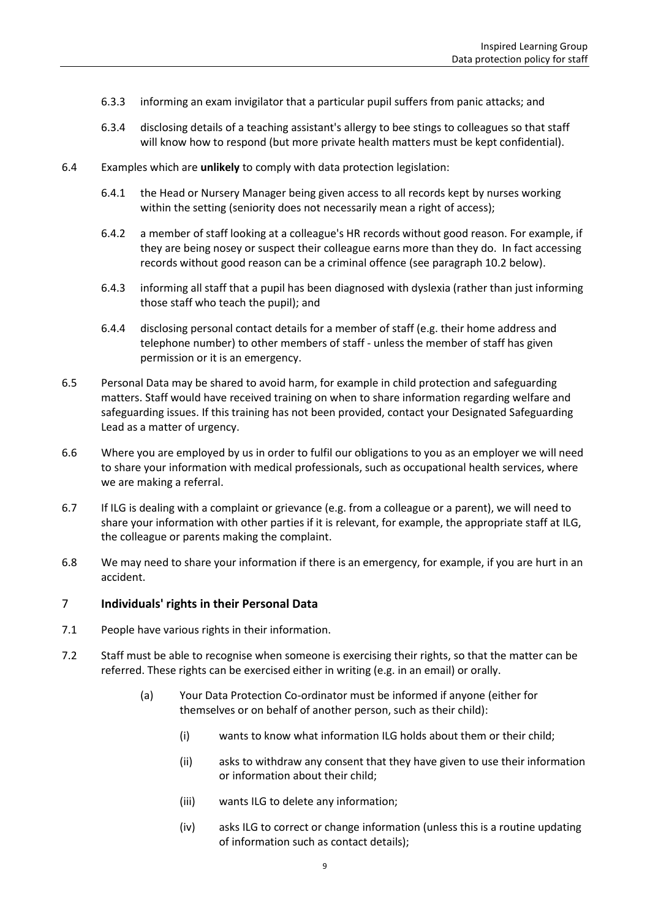- 6.3.3 informing an exam invigilator that a particular pupil suffers from panic attacks; and
- 6.3.4 disclosing details of a teaching assistant's allergy to bee stings to colleagues so that staff will know how to respond (but more private health matters must be kept confidential).
- 6.4 Examples which are **unlikely** to comply with data protection legislation:
	- 6.4.1 the Head or Nursery Manager being given access to all records kept by nurses working within the setting (seniority does not necessarily mean a right of access);
	- 6.4.2 a member of staff looking at a colleague's HR records without good reason. For example, if they are being nosey or suspect their colleague earns more than they do. In fact accessing records without good reason can be a criminal offence (see paragrap[h 10.2](#page-10-1) below).
	- 6.4.3 informing all staff that a pupil has been diagnosed with dyslexia (rather than just informing those staff who teach the pupil); and
	- 6.4.4 disclosing personal contact details for a member of staff (e.g. their home address and telephone number) to other members of staff - unless the member of staff has given permission or it is an emergency.
- 6.5 Personal Data may be shared to avoid harm, for example in child protection and safeguarding matters. Staff would have received training on when to share information regarding welfare and safeguarding issues. If this training has not been provided, contact your Designated Safeguarding Lead as a matter of urgency.
- 6.6 Where you are employed by us in order to fulfil our obligations to you as an employer we will need to share your information with medical professionals, such as occupational health services, where we are making a referral.
- 6.7 If ILG is dealing with a complaint or grievance (e.g. from a colleague or a parent), we will need to share your information with other parties if it is relevant, for example, the appropriate staff at ILG, the colleague or parents making the complaint.
- 6.8 We may need to share your information if there is an emergency, for example, if you are hurt in an accident.

#### <span id="page-8-0"></span>7 **Individuals' rights in their Personal Data**

- 7.1 People have various rights in their information.
- 7.2 Staff must be able to recognise when someone is exercising their rights, so that the matter can be referred. These rights can be exercised either in writing (e.g. in an email) or orally.
	- (a) Your Data Protection Co-ordinator must be informed if anyone (either for themselves or on behalf of another person, such as their child):
		- (i) wants to know what information ILG holds about them or their child;
		- (ii) asks to withdraw any consent that they have given to use their information or information about their child;
		- (iii) wants ILG to delete any information;
		- (iv) asks ILG to correct or change information (unless this is a routine updating of information such as contact details);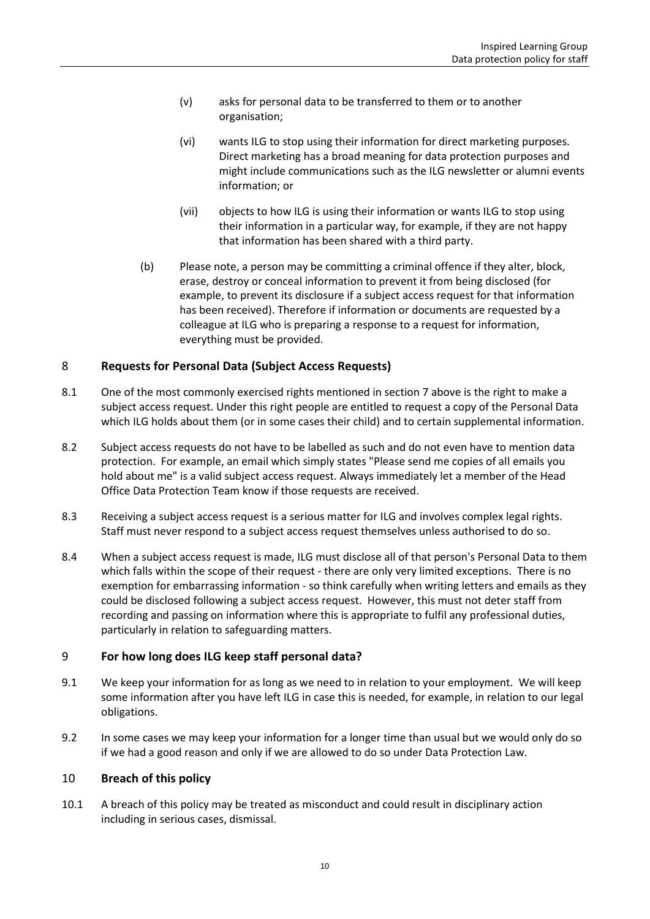- (v) asks for personal data to be transferred to them or to another organisation;
- (vi) wants ILG to stop using their information for direct marketing purposes. Direct marketing has a broad meaning for data protection purposes and might include communications such as the ILG newsletter or alumni events information; or
- (vii) objects to how ILG is using their information or wants ILG to stop using their information in a particular way, for example, if they are not happy that information has been shared with a third party.
- (b) Please note, a person may be committing a criminal offence if they alter, block, erase, destroy or conceal information to prevent it from being disclosed (for example, to prevent its disclosure if a subject access request for that information has been received). Therefore if information or documents are requested by a colleague at ILG who is preparing a response to a request for information, everything must be provided.

#### <span id="page-9-0"></span>8 **Requests for Personal Data (Subject Access Requests)**

- 8.1 One of the most commonly exercised rights mentioned in section [7](#page-8-0) above is the right to make a subject access request. Under this right people are entitled to request a copy of the Personal Data which ILG holds about them (or in some cases their child) and to certain supplemental information.
- 8.2 Subject access requests do not have to be labelled as such and do not even have to mention data protection. For example, an email which simply states "Please send me copies of all emails you hold about me" is a valid subject access request. Always immediately let a member of the Head Office Data Protection Team know if those requests are received.
- 8.3 Receiving a subject access request is a serious matter for ILG and involves complex legal rights. Staff must never respond to a subject access request themselves unless authorised to do so.
- 8.4 When a subject access request is made, ILG must disclose all of that person's Personal Data to them which falls within the scope of their request - there are only very limited exceptions. There is no exemption for embarrassing information - so think carefully when writing letters and emails as they could be disclosed following a subject access request. However, this must not deter staff from recording and passing on information where this is appropriate to fulfil any professional duties, particularly in relation to safeguarding matters.

#### <span id="page-9-1"></span>9 **For how long does ILG keep staff personal data?**

- 9.1 We keep your information for as long as we need to in relation to your employment. We will keep some information after you have left ILG in case this is needed, for example, in relation to our legal obligations.
- 9.2 In some cases we may keep your information for a longer time than usual but we would only do so if we had a good reason and only if we are allowed to do so under Data Protection Law.

#### <span id="page-9-2"></span>10 **Breach of this policy**

10.1 A breach of this policy may be treated as misconduct and could result in disciplinary action including in serious cases, dismissal.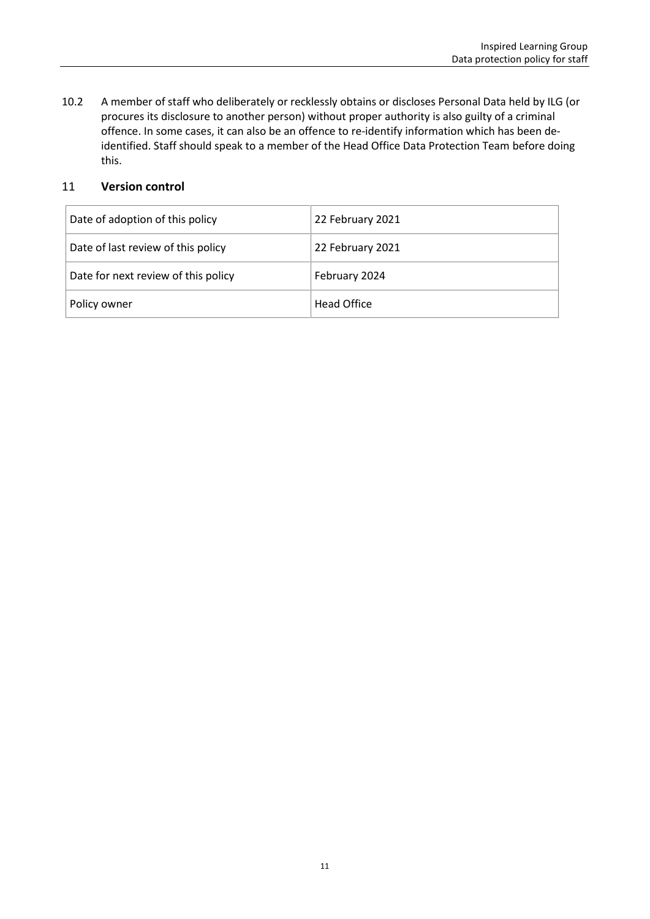<span id="page-10-1"></span>10.2 A member of staff who deliberately or recklessly obtains or discloses Personal Data held by ILG (or procures its disclosure to another person) without proper authority is also guilty of a criminal offence. In some cases, it can also be an offence to re-identify information which has been deidentified. Staff should speak to a member of the Head Office Data Protection Team before doing this.

#### <span id="page-10-0"></span>11 **Version control**

| Date of adoption of this policy     | 22 February 2021   |
|-------------------------------------|--------------------|
| Date of last review of this policy  | 22 February 2021   |
| Date for next review of this policy | February 2024      |
| Policy owner                        | <b>Head Office</b> |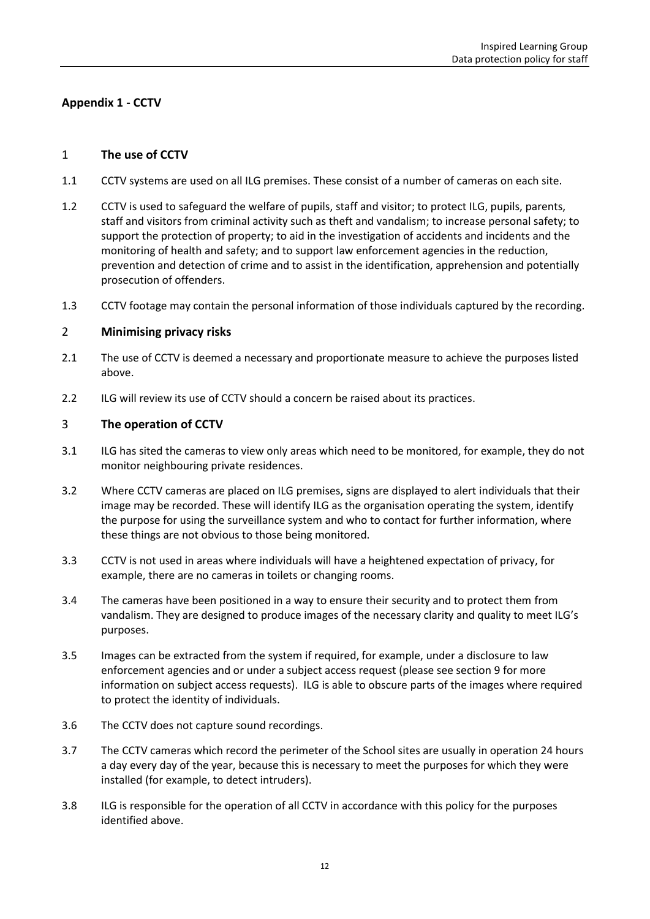#### <span id="page-11-0"></span>**Appendix 1 - CCTV**

#### 1 **The use of CCTV**

- 1.1 CCTV systems are used on all ILG premises. These consist of a number of cameras on each site.
- 1.2 CCTV is used to safeguard the welfare of pupils, staff and visitor; to protect ILG, pupils, parents, staff and visitors from criminal activity such as theft and vandalism; to increase personal safety; to support the protection of property; to aid in the investigation of accidents and incidents and the monitoring of health and safety; and to support law enforcement agencies in the reduction, prevention and detection of crime and to assist in the identification, apprehension and potentially prosecution of offenders.
- 1.3 CCTV footage may contain the personal information of those individuals captured by the recording.

#### 2 **Minimising privacy risks**

- 2.1 The use of CCTV is deemed a necessary and proportionate measure to achieve the purposes listed above.
- 2.2 ILG will review its use of CCTV should a concern be raised about its practices.

#### 3 **The operation of CCTV**

- 3.1 ILG has sited the cameras to view only areas which need to be monitored, for example, they do not monitor neighbouring private residences.
- 3.2 Where CCTV cameras are placed on ILG premises, signs are displayed to alert individuals that their image may be recorded. These will identify ILG as the organisation operating the system, identify the purpose for using the surveillance system and who to contact for further information, where these things are not obvious to those being monitored.
- 3.3 CCTV is not used in areas where individuals will have a heightened expectation of privacy, for example, there are no cameras in toilets or changing rooms.
- 3.4 The cameras have been positioned in a way to ensure their security and to protect them from vandalism. They are designed to produce images of the necessary clarity and quality to meet ILG's purposes.
- 3.5 Images can be extracted from the system if required, for example, under a disclosure to law enforcement agencies and or under a subject access request (please see sectio[n 9](#page-12-0) for more information on subject access requests). ILG is able to obscure parts of the images where required to protect the identity of individuals.
- 3.6 The CCTV does not capture sound recordings.
- 3.7 The CCTV cameras which record the perimeter of the School sites are usually in operation 24 hours a day every day of the year, because this is necessary to meet the purposes for which they were installed (for example, to detect intruders).
- 3.8 ILG is responsible for the operation of all CCTV in accordance with this policy for the purposes identified above.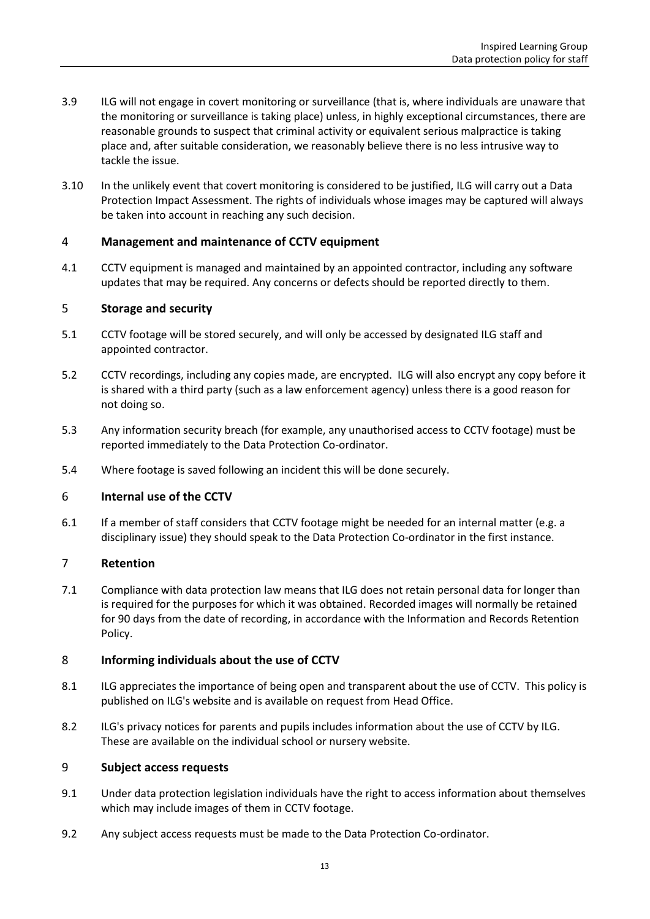- 3.9 ILG will not engage in covert monitoring or surveillance (that is, where individuals are unaware that the monitoring or surveillance is taking place) unless, in highly exceptional circumstances, there are reasonable grounds to suspect that criminal activity or equivalent serious malpractice is taking place and, after suitable consideration, we reasonably believe there is no less intrusive way to tackle the issue.
- 3.10 In the unlikely event that covert monitoring is considered to be justified, ILG will carry out a Data Protection Impact Assessment. The rights of individuals whose images may be captured will always be taken into account in reaching any such decision.

#### 4 **Management and maintenance of CCTV equipment**

4.1 CCTV equipment is managed and maintained by an appointed contractor, including any software updates that may be required. Any concerns or defects should be reported directly to them.

#### 5 **Storage and security**

- 5.1 CCTV footage will be stored securely, and will only be accessed by designated ILG staff and appointed contractor.
- 5.2 CCTV recordings, including any copies made, are encrypted. ILG will also encrypt any copy before it is shared with a third party (such as a law enforcement agency) unless there is a good reason for not doing so.
- 5.3 Any information security breach (for example, any unauthorised access to CCTV footage) must be reported immediately to the Data Protection Co-ordinator.
- 5.4 Where footage is saved following an incident this will be done securely.

#### 6 **Internal use of the CCTV**

6.1 If a member of staff considers that CCTV footage might be needed for an internal matter (e.g. a disciplinary issue) they should speak to the Data Protection Co-ordinator in the first instance.

#### 7 **Retention**

7.1 Compliance with data protection law means that ILG does not retain personal data for longer than is required for the purposes for which it was obtained. Recorded images will normally be retained for 90 days from the date of recording, in accordance with the Information and Records Retention Policy.

#### 8 **Informing individuals about the use of CCTV**

- 8.1 ILG appreciates the importance of being open and transparent about the use of CCTV. This policy is published on ILG's website and is available on request from Head Office.
- 8.2 ILG's privacy notices for parents and pupils includes information about the use of CCTV by ILG. These are available on the individual school or nursery website.

#### <span id="page-12-0"></span>9 **Subject access requests**

- 9.1 Under data protection legislation individuals have the right to access information about themselves which may include images of them in CCTV footage.
- 9.2 Any subject access requests must be made to the Data Protection Co-ordinator.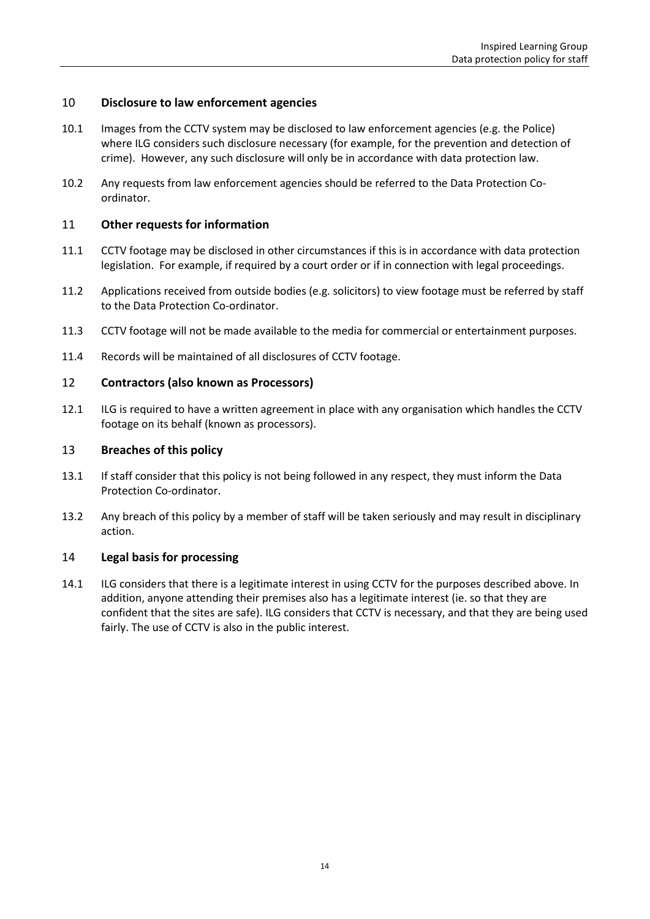#### 10 **Disclosure to law enforcement agencies**

- 10.1 Images from the CCTV system may be disclosed to law enforcement agencies (e.g. the Police) where ILG considers such disclosure necessary (for example, for the prevention and detection of crime). However, any such disclosure will only be in accordance with data protection law.
- 10.2 Any requests from law enforcement agencies should be referred to the Data Protection Coordinator.

#### 11 **Other requests for information**

- 11.1 CCTV footage may be disclosed in other circumstances if this is in accordance with data protection legislation. For example, if required by a court order or if in connection with legal proceedings.
- 11.2 Applications received from outside bodies (e.g. solicitors) to view footage must be referred by staff to the Data Protection Co-ordinator.
- 11.3 CCTV footage will not be made available to the media for commercial or entertainment purposes.
- 11.4 Records will be maintained of all disclosures of CCTV footage.

#### 12 **Contractors (also known as Processors)**

12.1 ILG is required to have a written agreement in place with any organisation which handles the CCTV footage on its behalf (known as processors).

#### 13 **Breaches of this policy**

- 13.1 If staff consider that this policy is not being followed in any respect, they must inform the Data Protection Co-ordinator.
- 13.2 Any breach of this policy by a member of staff will be taken seriously and may result in disciplinary action.

#### 14 **Legal basis for processing**

14.1 ILG considers that there is a legitimate interest in using CCTV for the purposes described above. In addition, anyone attending their premises also has a legitimate interest (ie. so that they are confident that the sites are safe). ILG considers that CCTV is necessary, and that they are being used fairly. The use of CCTV is also in the public interest.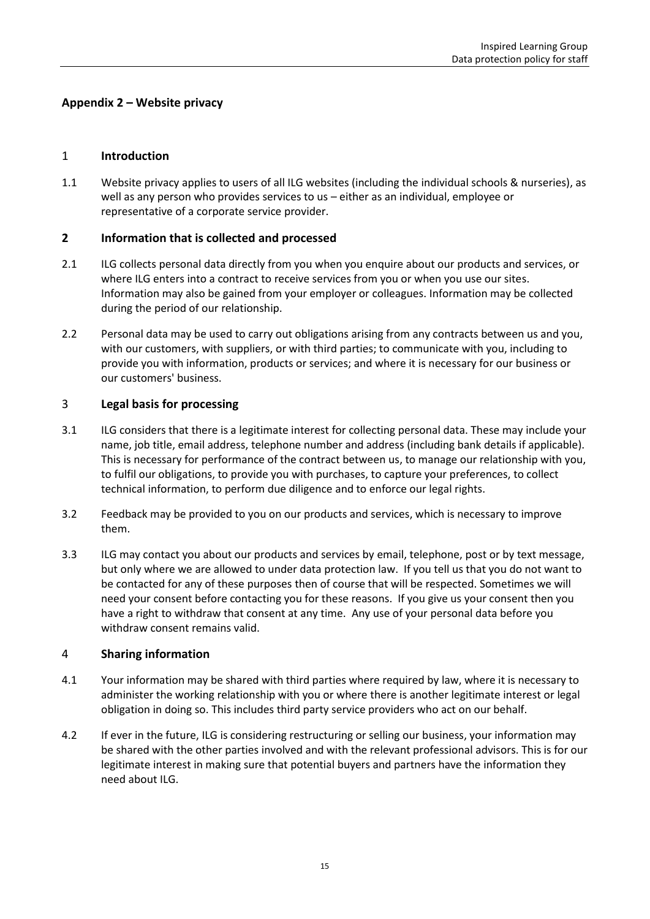#### <span id="page-14-0"></span>**Appendix 2 – Website privacy**

#### 1 **Introduction**

1.1 Website privacy applies to users of all ILG websites (including the individual schools & nurseries), as well as any person who provides services to us – either as an individual, employee or representative of a corporate service provider.

#### **2 Information that is collected and processed**

- 2.1 ILG collects personal data directly from you when you enquire about our products and services, or where ILG enters into a contract to receive services from you or when you use our sites. Information may also be gained from your employer or colleagues. Information may be collected during the period of our relationship.
- 2.2 Personal data may be used to carry out obligations arising from any contracts between us and you, with our customers, with suppliers, or with third parties; to communicate with you, including to provide you with information, products or services; and where it is necessary for our business or our customers' business.

#### 3 **Legal basis for processing**

- 3.1 ILG considers that there is a legitimate interest for collecting personal data. These may include your name, job title, email address, telephone number and address (including bank details if applicable). This is necessary for performance of the contract between us, to manage our relationship with you, to fulfil our obligations, to provide you with purchases, to capture your preferences, to collect technical information, to perform due diligence and to enforce our legal rights.
- 3.2 Feedback may be provided to you on our products and services, which is necessary to improve them.
- 3.3 ILG may contact you about our products and services by email, telephone, post or by text message, but only where we are allowed to under data protection law. If you tell us that you do not want to be contacted for any of these purposes then of course that will be respected. Sometimes we will need your consent before contacting you for these reasons. If you give us your consent then you have a right to withdraw that consent at any time. Any use of your personal data before you withdraw consent remains valid.

#### 4 **Sharing information**

- 4.1 Your information may be shared with third parties where required by law, where it is necessary to administer the working relationship with you or where there is another legitimate interest or legal obligation in doing so. This includes third party service providers who act on our behalf.
- 4.2 If ever in the future, ILG is considering restructuring or selling our business, your information may be shared with the other parties involved and with the relevant professional advisors. This is for our legitimate interest in making sure that potential buyers and partners have the information they need about ILG.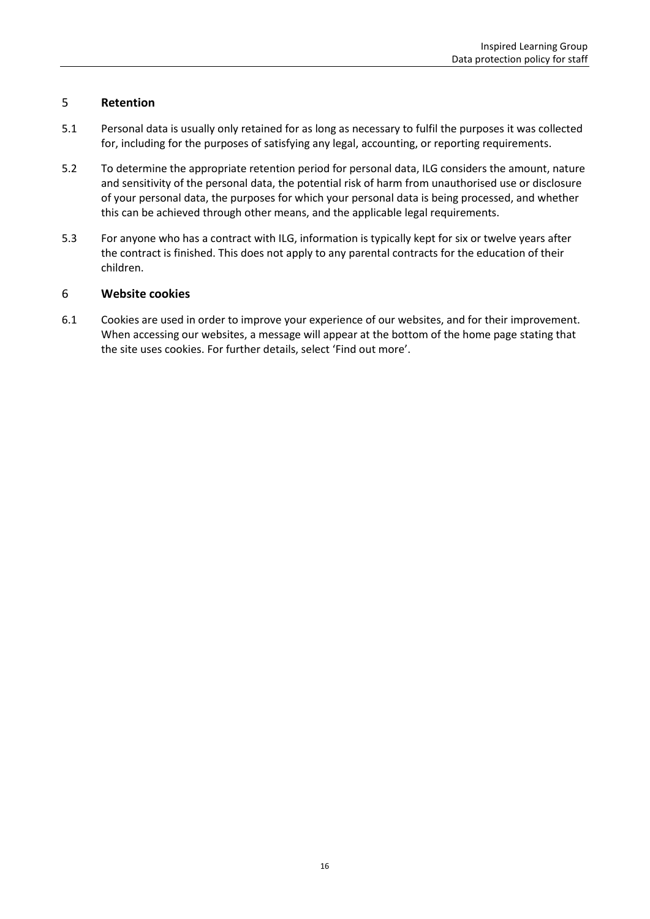#### 5 **Retention**

- 5.1 Personal data is usually only retained for as long as necessary to fulfil the purposes it was collected for, including for the purposes of satisfying any legal, accounting, or reporting requirements.
- 5.2 To determine the appropriate retention period for personal data, ILG considers the amount, nature and sensitivity of the personal data, the potential risk of harm from unauthorised use or disclosure of your personal data, the purposes for which your personal data is being processed, and whether this can be achieved through other means, and the applicable legal requirements.
- 5.3 For anyone who has a contract with ILG, information is typically kept for six or twelve years after the contract is finished. This does not apply to any parental contracts for the education of their children.

#### 6 **Website cookies**

6.1 Cookies are used in order to improve your experience of our websites, and for their improvement. When accessing our websites, a message will appear at the bottom of the home page stating that the site uses cookies. For further details, select 'Find out more'.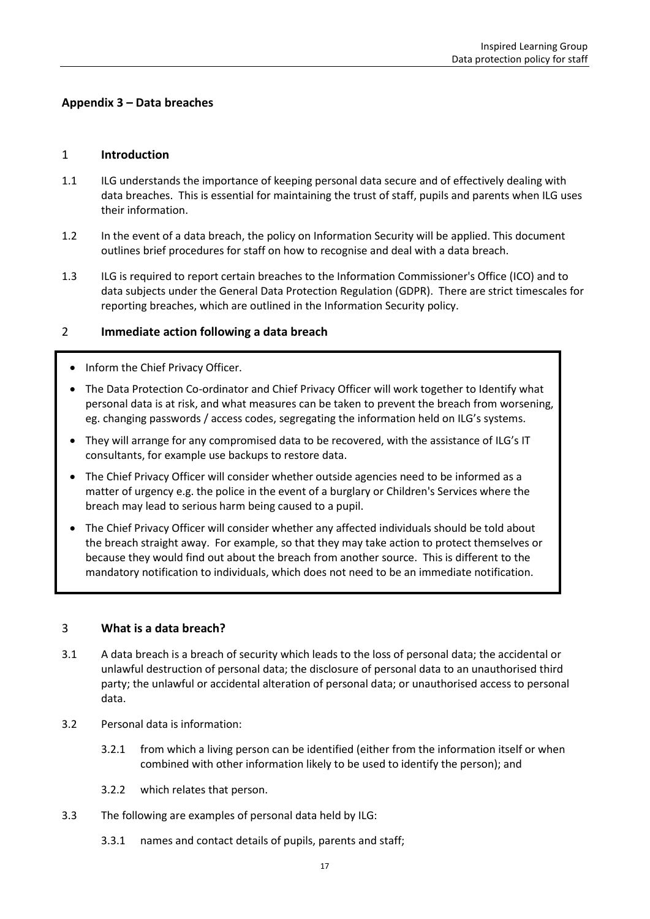#### <span id="page-16-0"></span>**Appendix 3 – Data breaches**

#### 1 **Introduction**

- 1.1 ILG understands the importance of keeping personal data secure and of effectively dealing with data breaches. This is essential for maintaining the trust of staff, pupils and parents when ILG uses their information.
- 1.2 In the event of a data breach, the policy on Information Security will be applied. This document outlines brief procedures for staff on how to recognise and deal with a data breach.
- 1.3 ILG is required to report certain breaches to the Information Commissioner's Office (ICO) and to data subjects under the General Data Protection Regulation (GDPR). There are strict timescales for reporting breaches, which are outlined in the Information Security policy.

#### 2 **Immediate action following a data breach**

- Inform the Chief Privacy Officer.
- The Data Protection Co-ordinator and Chief Privacy Officer will work together to Identify what personal data is at risk, and what measures can be taken to prevent the breach from worsening, eg. changing passwords / access codes, segregating the information held on ILG's systems.
- They will arrange for any compromised data to be recovered, with the assistance of ILG's IT consultants, for example use backups to restore data.
- The Chief Privacy Officer will consider whether outside agencies need to be informed as a matter of urgency e.g. the police in the event of a burglary or Children's Services where the breach may lead to serious harm being caused to a pupil.
- The Chief Privacy Officer will consider whether any affected individuals should be told about the breach straight away. For example, so that they may take action to protect themselves or because they would find out about the breach from another source. This is different to the mandatory notification to individuals, which does not need to be an immediate notification.

#### 3 **What is a data breach?**

- 3.1 A data breach is a breach of security which leads to the loss of personal data; the accidental or unlawful destruction of personal data; the disclosure of personal data to an unauthorised third party; the unlawful or accidental alteration of personal data; or unauthorised access to personal data.
- 3.2 Personal data is information:
	- 3.2.1 from which a living person can be identified (either from the information itself or when combined with other information likely to be used to identify the person); and
	- 3.2.2 which relates that person.
- 3.3 The following are examples of personal data held by ILG:
	- 3.3.1 names and contact details of pupils, parents and staff;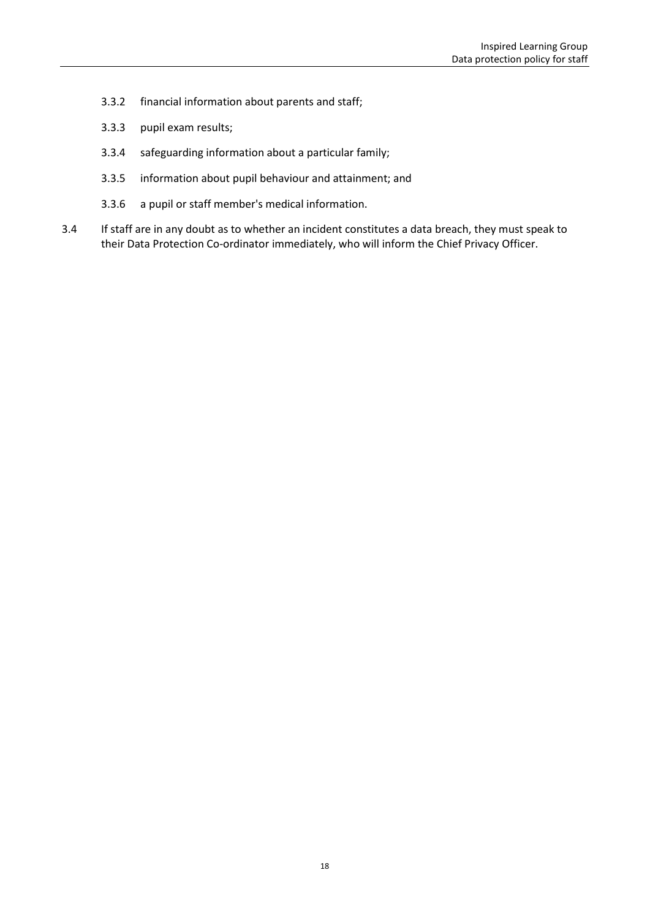- 3.3.2 financial information about parents and staff;
- 3.3.3 pupil exam results;
- 3.3.4 safeguarding information about a particular family;
- 3.3.5 information about pupil behaviour and attainment; and
- 3.3.6 a pupil or staff member's medical information.
- 3.4 If staff are in any doubt as to whether an incident constitutes a data breach, they must speak to their Data Protection Co-ordinator immediately, who will inform the Chief Privacy Officer.